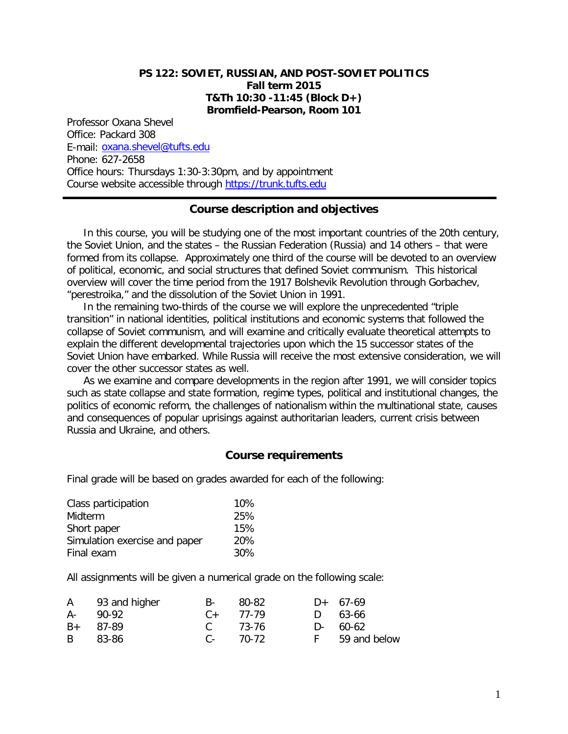#### **PS 122: SOVIET, RUSSIAN, AND POST-SOVIET POLITICS Fall term 2015 T&Th 10:30 -11:45 (Block D+) Bromfield-Pearson, Room 101**

Professor Oxana Shevel Office: Packard 308 E-mail: [oxana.shevel@tufts.edu](mailto:oxana.shevel@tufts.edu) Phone: 627-2658 Office hours: Thursdays 1:30-3:30pm, and by appointment Course website accessible through [https://trunk.tufts.edu](https://trunk.tufts.edu/)

#### **Course description and objectives**

In this course, you will be studying one of the most important countries of the 20th century, the Soviet Union, and the states – the Russian Federation (Russia) and 14 others – that were formed from its collapse. Approximately one third of the course will be devoted to an overview of political, economic, and social structures that defined Soviet communism. This historical overview will cover the time period from the 1917 Bolshevik Revolution through Gorbachev, "perestroika," and the dissolution of the Soviet Union in 1991.

In the remaining two-thirds of the course we will explore the unprecedented "triple transition" in national identities, political institutions and economic systems that followed the collapse of Soviet communism, and will examine and critically evaluate theoretical attempts to explain the different developmental trajectories upon which the 15 successor states of the Soviet Union have embarked. While Russia will receive the most extensive consideration, we will cover the other successor states as well.

As we examine and compare developments in the region after 1991, we will consider topics such as state collapse and state formation, regime types, political and institutional changes, the politics of economic reform, the challenges of nationalism within the multinational state, causes and consequences of popular uprisings against authoritarian leaders, current crisis between Russia and Ukraine, and others.

#### **Course requirements**

Final grade will be based on grades awarded for each of the following:

| Class participation           | $10\%$ |
|-------------------------------|--------|
| Midterm                       | 25%    |
| Short paper                   | 15%    |
| Simulation exercise and paper | 20%    |
| Final exam                    | 30%    |

All assignments will be given a numerical grade on the following scale:

| A 93 and higher | $B-$          | - 80-82 | $D+ 67-69$     |
|-----------------|---------------|---------|----------------|
| A- 90-92        | $C_{+}$ 77-79 |         | D 63-66        |
| $B+ 87-89$      | C 73-76       |         | $D - 60 - 62$  |
| B 83-86         | $C_{2}$ 70-72 |         | F 59 and below |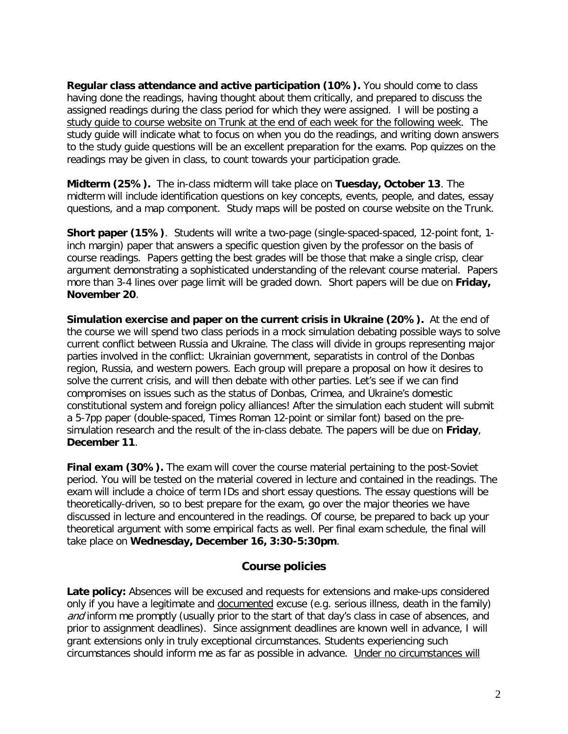**Regular class attendance and active participation (10%).** You should come to class having done the readings, having thought about them critically, and prepared to discuss the assigned readings during the class period for which they were assigned. I will be posting a study guide to course website on Trunk at the end of each week for the following week. The study guide will indicate what to focus on when you do the readings, and writing down answers to the study guide questions will be an excellent preparation for the exams. Pop quizzes on the readings may be given in class, to count towards your participation grade.

**Midterm (25%).** The in-class midterm will take place on **Tuesday, October 13**. The midterm will include identification questions on key concepts, events, people, and dates, essay questions, and a map component. Study maps will be posted on course website on the Trunk.

**Short paper (15%)**. Students will write a two-page (single-spaced-spaced, 12-point font, 1 inch margin) paper that answers a specific question given by the professor on the basis of course readings. Papers getting the best grades will be those that make a single crisp, clear argument demonstrating a sophisticated understanding of the relevant course material. Papers more than 3-4 lines over page limit will be graded down. Short papers will be due on **Friday, November 20**.

**Simulation exercise and paper on the current crisis in Ukraine (20%).** At the end of the course we will spend two class periods in a mock simulation debating possible ways to solve current conflict between Russia and Ukraine. The class will divide in groups representing major parties involved in the conflict: Ukrainian government, separatists in control of the Donbas region, Russia, and western powers. Each group will prepare a proposal on how it desires to solve the current crisis, and will then debate with other parties. Let's see if we can find compromises on issues such as the status of Donbas, Crimea, and Ukraine's domestic constitutional system and foreign policy alliances! After the simulation each student will submit a 5-7pp paper (double-spaced, Times Roman 12-point or similar font) based on the presimulation research and the result of the in-class debate. The papers will be due on **Friday**, **December 11**.

**Final exam (30%).** The exam will cover the course material pertaining to the post-Soviet period. You will be tested on the material covered in lecture and contained in the readings. The exam will include a choice of term IDs and short essay questions. The essay questions will be theoretically-driven, so to best prepare for the exam, go over the major theories we have discussed in lecture and encountered in the readings. Of course, be prepared to back up your theoretical argument with some empirical facts as well. Per final exam schedule, the final will take place on **Wednesday, December 16, 3:30-5:30pm**.

#### **Course policies**

**Late policy:** Absences will be excused and requests for extensions and make-ups considered only if you have a legitimate and documented excuse (e.g. serious illness, death in the family) and inform me promptly (usually prior to the start of that day's class in case of absences, and prior to assignment deadlines). Since assignment deadlines are known well in advance, I will grant extensions only in truly exceptional circumstances. Students experiencing such circumstances should inform me as far as possible in advance. Under no circumstances will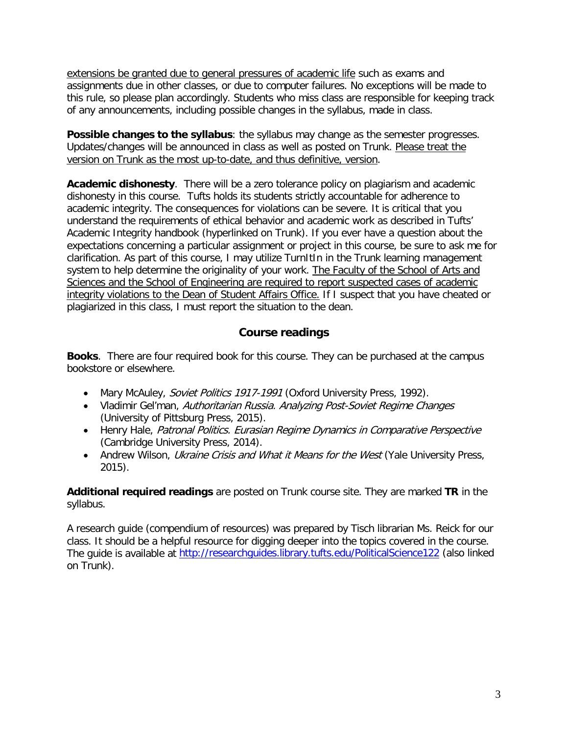extensions be granted due to general pressures of academic life such as exams and assignments due in other classes, or due to computer failures. No exceptions will be made to this rule, so please plan accordingly. Students who miss class are responsible for keeping track of any announcements, including possible changes in the syllabus, made in class.

**Possible changes to the syllabus**: the syllabus may change as the semester progresses. Updates/changes will be announced in class as well as posted on Trunk. Please treat the version on Trunk as the most up-to-date, and thus definitive, version.

**Academic dishonesty**. There will be a zero tolerance policy on plagiarism and academic dishonesty in this course. Tufts holds its students strictly accountable for adherence to academic integrity. The consequences for violations can be severe. It is critical that you understand the requirements of ethical behavior and academic work as described in Tufts' Academic Integrity handbook (hyperlinked on Trunk). If you ever have a question about the expectations concerning a particular assignment or project in this course, be sure to ask me for clarification. As part of this course, I may utilize TurnItIn in the Trunk learning management system to help determine the originality of your work. The Faculty of the School of Arts and Sciences and the School of Engineering are required to report suspected cases of academic integrity violations to the Dean of Student Affairs Office. If I suspect that you have cheated or plagiarized in this class, I must report the situation to the dean.

# **Course readings**

**Books**. There are four required book for this course. They can be purchased at the campus bookstore or elsewhere.

- Mary McAuley, Soviet Politics 1917-1991 (Oxford University Press, 1992).
- Vladimir Gel'man, Authoritarian Russia. Analyzing Post-Soviet Regime Changes (University of Pittsburg Press, 2015).
- Henry Hale, Patronal Politics. Eurasian Regime Dynamics in Comparative Perspective (Cambridge University Press, 2014).
- Andrew Wilson, Ukraine Crisis and What it Means for the West (Yale University Press, 2015).

**Additional required readings** are posted on Trunk course site. They are marked **TR** in the syllabus.

A research guide (compendium of resources) was prepared by Tisch librarian Ms. Reick for our class. It should be a helpful resource for digging deeper into the topics covered in the course. The guide is available at<http://researchguides.library.tufts.edu/PoliticalScience122> (also linked on Trunk).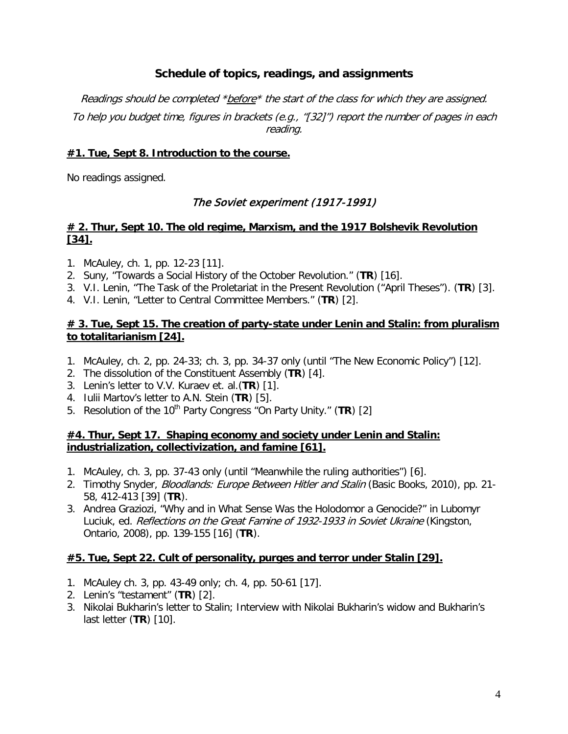# **Schedule of topics, readings, and assignments**

Readings should be completed \*before\* the start of the class for which they are assigned. To help you budget time, figures in brackets (e.g., "[32]") report the number of pages in each reading.

### **#1. Tue, Sept 8. Introduction to the course.**

No readings assigned.

# The Soviet experiment (1917-1991)

### **# 2. Thur, Sept 10. The old regime, Marxism, and the 1917 Bolshevik Revolution [34].**

- 1. McAuley, ch. 1, pp. 12-23 [11].
- 2. Suny, "Towards a Social History of the October Revolution." (**TR**) [16].
- 3. V.I. Lenin, "The Task of the Proletariat in the Present Revolution ("April Theses"). (**TR**) [3].
- 4. V.I. Lenin, "Letter to Central Committee Members." (**TR**) [2].

### **# 3. Tue, Sept 15. The creation of party-state under Lenin and Stalin: from pluralism to totalitarianism [24].**

- 1. McAuley, ch. 2, pp. 24-33; ch. 3, pp. 34-37 only (until "The New Economic Policy") [12].
- 2. The dissolution of the Constituent Assembly (**TR**) [4].
- 3. Lenin's letter to V.V. Kuraev et. al.(**TR**) [1].
- 4. Iulii Martov's letter to A.N. Stein (**TR**) [5].
- 5. Resolution of the 10<sup>th</sup> Party Congress "On Party Unity." (TR) [2]

#### **#4. Thur, Sept 17. Shaping economy and society under Lenin and Stalin: industrialization, collectivization, and famine [61].**

- 1. McAuley, ch. 3, pp. 37-43 only (until "Meanwhile the ruling authorities") [6].
- 2. Timothy Snyder, *Bloodlands: Europe Between Hitler and Stalin* (Basic Books, 2010), pp. 21-58, 412-413 [39] (**TR**).
- 3. Andrea Graziozi, "Why and in What Sense Was the Holodomor a Genocide?" in Lubomyr Luciuk, ed. Reflections on the Great Famine of 1932-1933 in Soviet Ukraine (Kingston, Ontario, 2008), pp. 139-155 [16] (**TR**).

# **#5. Tue, Sept 22. Cult of personality, purges and terror under Stalin [29].**

- 1. McAuley ch. 3, pp. 43-49 only; ch. 4, pp. 50-61 [17].
- 2. Lenin's "testament" (**TR**) [2].
- 3. Nikolai Bukharin's letter to Stalin; Interview with Nikolai Bukharin's widow and Bukharin's last letter (**TR**) [10].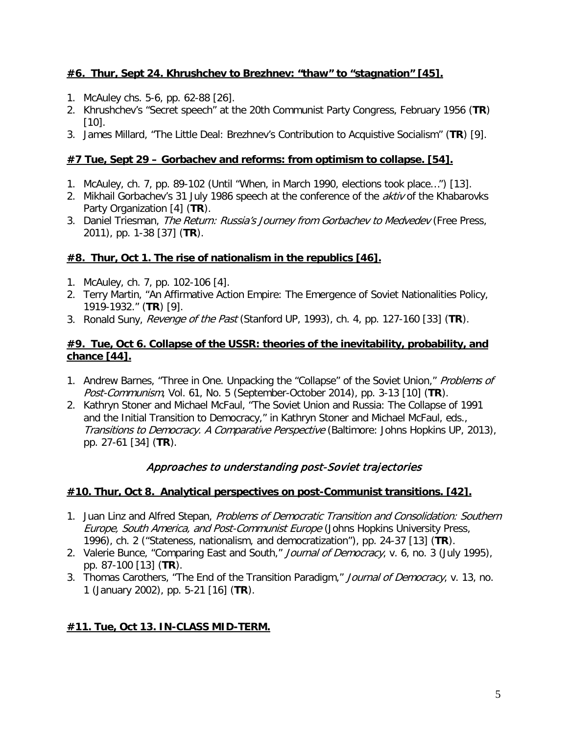# **#6. Thur, Sept 24. Khrushchev to Brezhnev: "thaw" to "stagnation" [45].**

- 1. McAuley chs. 5-6, pp. 62-88 [26].
- 2. Khrushchev's "Secret speech" at the 20th Communist Party Congress, February 1956 (**TR**) [10].
- 3. James Millard, "The Little Deal: Brezhnev's Contribution to Acquistive Socialism" (**TR**) [9].

### **#7 Tue, Sept 29 – Gorbachev and reforms: from optimism to collapse. [54].**

- 1. McAuley, ch. 7, pp. 89-102 (Until "When, in March 1990, elections took place…") [13].
- 2. Mikhail Gorbachev's 31 July 1986 speech at the conference of the aktiv of the Khabarovks Party Organization [4] (**TR**).
- 3. Daniel Triesman, The Return: Russia's Journey from Gorbachev to Medvedev (Free Press, 2011), pp. 1-38 [37] (**TR**).

### **#8. Thur, Oct 1. The rise of nationalism in the republics [46].**

- 1. McAuley, ch. 7, pp. 102-106 [4].
- 2. Terry Martin, "An Affirmative Action Empire: The Emergence of Soviet Nationalities Policy, 1919-1932." (**TR**) [9].
- 3. Ronald Suny, Revenge of the Past (Stanford UP, 1993), ch. 4, pp. 127-160 [33] (**TR**).

### **#9. Tue, Oct 6. Collapse of the USSR: theories of the inevitability, probability, and chance [44].**

- 1. Andrew Barnes, "Three in One. Unpacking the "Collapse" of the Soviet Union," Problems of Post-Communism, Vol. 61, No. 5 (September-October 2014), pp. 3-13 [10] (**TR**).
- 2. Kathryn Stoner and Michael McFaul, "The Soviet Union and Russia: The Collapse of 1991 and the Initial Transition to Democracy," in Kathryn Stoner and Michael McFaul, eds., Transitions to Democracy. A Comparative Perspective (Baltimore: Johns Hopkins UP, 2013), pp. 27-61 [34] (**TR**).

# Approaches to understanding post-Soviet trajectories

# **#10. Thur, Oct 8. Analytical perspectives on post-Communist transitions. [42].**

- 1. Juan Linz and Alfred Stepan, Problems of Democratic Transition and Consolidation: Southern Europe, South America, and Post-Communist Europe (Johns Hopkins University Press, 1996), ch. 2 ("Stateness, nationalism, and democratization"), pp. 24-37 [13] (**TR**).
- 2. Valerie Bunce, "Comparing East and South," Journal of Democracy, v. 6, no. 3 (July 1995), pp. 87-100 [13] (**TR**).
- 3. Thomas Carothers, "The End of the Transition Paradigm," Journal of Democracy, v. 13, no. 1 (January 2002), pp. 5-21 [16] (**TR**).

# **#11. Tue, Oct 13. IN-CLASS MID-TERM.**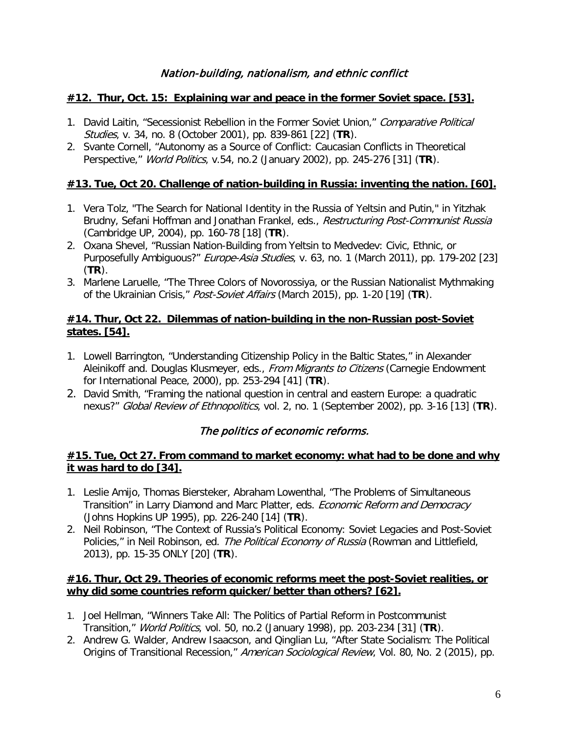### **#12. Thur, Oct. 15: Explaining war and peace in the former Soviet space. [53].**

- 1. David Laitin, "Secessionist Rebellion in the Former Soviet Union," Comparative Political Studies, v. 34, no. 8 (October 2001), pp. 839-861 [22] (**TR**).
- 2. Svante Cornell, "Autonomy as a Source of Conflict: Caucasian Conflicts in Theoretical Perspective," World Politics, v.54, no.2 (January 2002), pp. 245-276 [31] (**TR**).

### **#13. Tue, Oct 20. Challenge of nation-building in Russia: inventing the nation. [60].**

- 1. Vera Tolz, "The Search for National Identity in the Russia of Yeltsin and Putin," in Yitzhak Brudny, Sefani Hoffman and Jonathan Frankel, eds., Restructuring Post-Communist Russia (Cambridge UP, 2004), pp. 160-78 [18] (**TR**).
- 2. Oxana Shevel, "Russian Nation-Building from Yeltsin to Medvedev: Civic, Ethnic, or Purposefully Ambiguous?" *Europe-Asia Studies*, v. 63, no. 1 (March 2011), pp. 179-202 [23] (**TR**).
- 3. Marlene Laruelle, "The Three Colors of Novorossiya, or the Russian Nationalist Mythmaking of the Ukrainian Crisis," Post-Soviet Affairs (March 2015), pp. 1-20 [19] (**TR**).

### **#14. Thur, Oct 22. Dilemmas of nation-building in the non-Russian post-Soviet states. [54].**

- 1. Lowell Barrington, "Understanding Citizenship Policy in the Baltic States," in Alexander Aleinikoff and. Douglas Klusmeyer, eds., *From Migrants to Citizens* (Carnegie Endowment for International Peace, 2000), pp. 253-294 [41] (**TR**).
- 2. David Smith, "Framing the national question in central and eastern Europe: a quadratic nexus?" Global Review of Ethnopolitics, vol. 2, no. 1 (September 2002), pp. 3-16 [13] (**TR**).

# The politics of economic reforms.

#### **#15. Tue, Oct 27. From command to market economy: what had to be done and why it was hard to do [34].**

- 1. Leslie Amijo, Thomas Biersteker, Abraham Lowenthal, "The Problems of Simultaneous Transition" in Larry Diamond and Marc Platter, eds. Economic Reform and Democracy (Johns Hopkins UP 1995), pp. 226-240 [14] (**TR**).
- 2. Neil Robinson, "The Context of Russia's Political Economy: Soviet Legacies and Post-Soviet Policies," in Neil Robinson, ed. The Political Economy of Russia (Rowman and Littlefield, 2013), pp. 15-35 ONLY [20] (**TR**).

#### **#16. Thur, Oct 29. Theories of economic reforms meet the post-Soviet realities, or why did some countries reform quicker/better than others? [62].**

- 1. Joel Hellman, "Winners Take All: The Politics of Partial Reform in Postcommunist Transition," World Politics, vol. 50, no.2 (January 1998), pp. 203-234 [31] (**TR**).
- 2. Andrew G. Walder, Andrew Isaacson, and Qinglian Lu, "After State Socialism: The Political Origins of Transitional Recession," American Sociological Review, Vol. 80, No. 2 (2015), pp.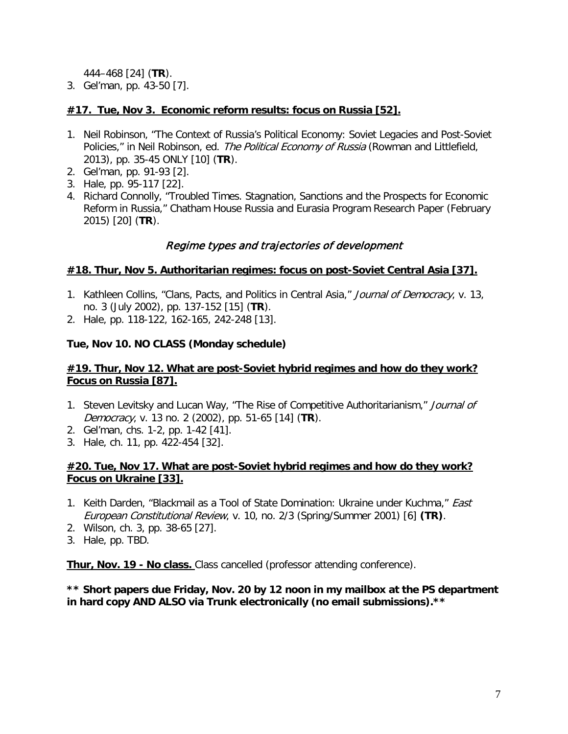444–468 [24] (**TR**).

3. Gel'man, pp. 43-50 [7].

### **#17. Tue, Nov 3. Economic reform results: focus on Russia [52].**

- 1. Neil Robinson, "The Context of Russia's Political Economy: Soviet Legacies and Post-Soviet Policies," in Neil Robinson, ed. The Political Economy of Russia (Rowman and Littlefield, 2013), pp. 35-45 ONLY [10] (**TR**).
- 2. Gel'man, pp. 91-93 [2].
- 3. Hale, pp. 95-117 [22].
- 4. Richard Connolly, "Troubled Times. Stagnation, Sanctions and the Prospects for Economic Reform in Russia," Chatham House Russia and Eurasia Program Research Paper (February 2015) [20] (**TR**).

### Regime types and trajectories of development

#### **#18. Thur, Nov 5. Authoritarian regimes: focus on post-Soviet Central Asia [37].**

- 1. Kathleen Collins, "Clans, Pacts, and Politics in Central Asia," Journal of Democracy, v. 13, no. 3 (July 2002), pp. 137-152 [15] (**TR**).
- 2. Hale, pp. 118-122, 162-165, 242-248 [13].

### **Tue, Nov 10. NO CLASS (Monday schedule)**

### **#19. Thur, Nov 12. What are post-Soviet hybrid regimes and how do they work? Focus on Russia [87].**

- 1. Steven Levitsky and Lucan Way, "The Rise of Competitive Authoritarianism," Journal of Democracy, v. 13 no. 2 (2002), pp. 51-65 [14] (**TR**).
- 2. Gel'man, chs. 1-2, pp. 1-42 [41].
- 3. Hale, ch. 11, pp. 422-454 [32].

### **#20. Tue, Nov 17. What are post-Soviet hybrid regimes and how do they work? Focus on Ukraine [33].**

- 1. Keith Darden, "Blackmail as a Tool of State Domination: Ukraine under Kuchma," *East* European Constitutional Review, v. 10, no. 2/3 (Spring/Summer 2001) [6] **(TR)**.
- 2. Wilson, ch. 3, pp. 38-65 [27].
- 3. Hale, pp. TBD.

**Thur, Nov. 19 - No class.** Class cancelled (professor attending conference).

**\*\* Short papers due Friday, Nov. 20 by 12 noon in my mailbox at the PS department in hard copy AND ALSO via Trunk electronically (no email submissions).\*\***